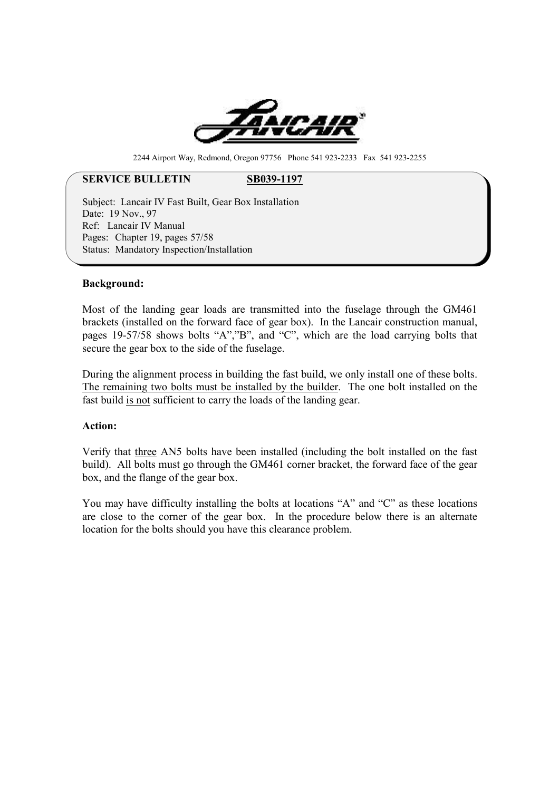

2244 Airport Way, Redmond, Oregon 97756 Phone 541 923-2233 Fax 541 923-2255

# **SERVICE BULLETIN** SB039-1197

Subject: Lancair IV Fast Built, Gear Box Installation Date: 19 Nov. 97 Ref: Lancair IV Manual Pages: Chapter 19, pages 57/58 Status: Mandatory Inspection/Installation

#### **Background:**

Most of the landing gear loads are transmitted into the fuselage through the GM461 brackets (installed on the forward face of gear box). In the Lancair construction manual, pages 19-57/58 shows bolts "A","B", and "C", which are the load carrying bolts that secure the gear box to the side of the fuselage.

During the alignment process in building the fast build, we only install one of these bolts. The remaining two bolts must be installed by the builder. The one bolt installed on the fast build is not sufficient to carry the loads of the landing gear.

# **Action:**

Verify that three AN5 bolts have been installed (including the bolt installed on the fast build). All bolts must go through the GM461 corner bracket, the forward face of the gear box, and the flange of the gear box.

You may have difficulty installing the bolts at locations "A" and "C" as these locations are close to the corner of the gear box. In the procedure below there is an alternate location for the bolts should you have this clearance problem.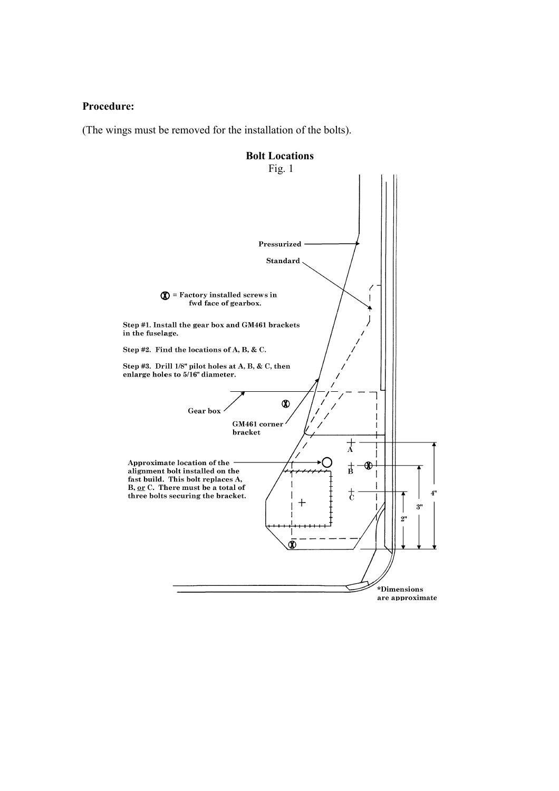# **Procedure:**

(The wings must be removed for the installation of the bolts).

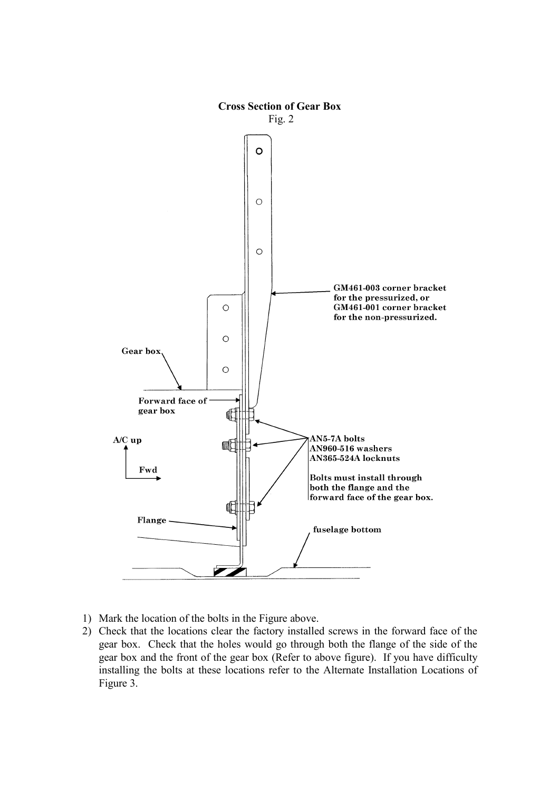

- 1) Mark the location of the bolts in the Figure above.
- 2) Check that the locations clear the factory installed screws in the forward face of the gear box. Check that the holes would go through both the flange of the side of the gear box and the front of the gear box (Refer to above figure). If you have difficulty installing the bolts at these locations refer to the Alternate Installation Locations of Figure 3.